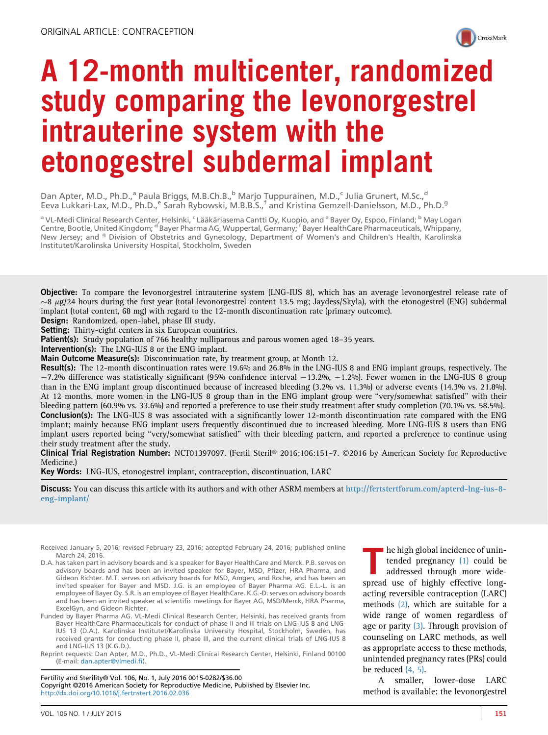

# A 12-month multicenter, randomized study comparing the levonorgestrel intrauterine system with the etonogestrel subdermal implant

Dan Apter, M.D., Ph.D.,<sup>a</sup> Paula Briggs, M.B.Ch.B.,<sup>b</sup> Marjo Tuppurainen, M.D.,<sup>c</sup> Julia Grunert, M.Sc.,<sup>d</sup> Eeva Lukkari-Lax, M.D., Ph.D.,<sup>e</sup> Sarah Rybowski, M.B.B.S.,<sup>f</sup> and Kristina Gemzell-Danielsson, M.D., Ph.D.<sup>g</sup>

a VL-Medi Clinical Research Center, Helsinki, <sup>c</sup> Lääkäriasema Cantti Oy, Kuopio, and <sup>e</sup> Bayer Oy, Espoo, Finland; <sup>b</sup> May Logan Centre, Bootle, United Kingdom; <sup>d</sup> Bayer Pharma AG, Wuppertal, Germany; <sup>f</sup> Bayer HealthCare Pharmaceuticals, Whippany, New Jersey; and <sup>g</sup> Division of Obstetrics and Gynecology, Department of Women's and Children's Health, Karolinska Institutet/Karolinska University Hospital, Stockholm, Sweden

Objective: To compare the levonorgestrel intrauterine system (LNG-IUS 8), which has an average levonorgestrel release rate of  $\sim$ 8  $\mu$ g/24 hours during the first year (total levonorgestrel content 13.5 mg; Jaydess/Skyla), with the etonogestrel (ENG) subdermal implant (total content, 68 mg) with regard to the 12-month discontinuation rate (primary outcome).

Design: Randomized, open-label, phase III study.

Setting: Thirty-eight centers in six European countries.

**Patient(s):** Study population of 766 healthy nulliparous and parous women aged 18–35 years.

Intervention(s): The LNG-IUS 8 or the ENG implant.

Main Outcome Measure(s): Discontinuation rate, by treatment group, at Month 12.

Result(s): The 12-month discontinuation rates were 19.6% and 26.8% in the LNG-IUS 8 and ENG implant groups, respectively. The  $-7.2\%$  difference was statistically significant (95% confidence interval  $-13.2\%$ ,  $-1.2\%$ ). Fewer women in the LNG-IUS 8 group than in the ENG implant group discontinued because of increased bleeding (3.2% vs. 11.3%) or adverse events (14.3% vs. 21.8%). At 12 months, more women in the LNG-IUS 8 group than in the ENG implant group were ''very/somewhat satisfied'' with their bleeding pattern (60.9% vs. 33.6%) and reported a preference to use their study treatment after study completion (70.1% vs. 58.5%). Conclusion(s): The LNG-IUS 8 was associated with a significantly lower 12-month discontinuation rate compared with the ENG implant; mainly because ENG implant users frequently discontinued due to increased bleeding. More LNG-IUS 8 users than ENG implant users reported being ''very/somewhat satisfied'' with their bleeding pattern, and reported a preference to continue using their study treatment after the study.

Clinical Trial Registration Number: NCT01397097. (Fertil Steril® 2016;106:151-7. ©2016 by American Society for Reproductive Medicine.)

Key Words: LNG-IUS, etonogestrel implant, contraception, discontinuation, LARC

Discuss: You can discuss this article with its authors and with other ASRM members at [http://fertstertforum.com/apterd-lng-ius-8](http://fertstertforum.com/apterd-lng-ius-8-eng-implant/) [eng-implant/](http://fertstertforum.com/apterd-lng-ius-8-eng-implant/)

Received January 5, 2016; revised February 23, 2016; accepted February 24, 2016; published online March 24, 2016.

- D.A. has taken part in advisory boards and is a speaker for Bayer HealthCare and Merck. P.B. serves on advisory boards and has been an invited speaker for Bayer, MSD, Pfizer, HRA Pharma, and Gideon Richter. M.T. serves on advisory boards for MSD, Amgen, and Roche, and has been an invited speaker for Bayer and MSD. J.G. is an employee of Bayer Pharma AG. E.L.-L. is an employee of Bayer Oy. S.R. is an employee of Bayer HealthCare. K.G.-D. serves on advisory boards and has been an invited speaker at scientific meetings for Bayer AG, MSD/Merck, HRA Pharma, ExcelGyn, and Gideon Richter.
- Funded by Bayer Pharma AG. VL-Medi Clinical Research Center, Helsinki, has received grants from Bayer HealthCare Pharmaceuticals for conduct of phase II and III trials on LNG-IUS 8 and LNG-IUS 13 (D.A.). Karolinska Institutet/Karolinska University Hospital, Stockholm, Sweden, has received grants for conducting phase II, phase III, and the current clinical trials of LNG-IUS 8 and LNG-IUS 13 (K.G.D.).

Reprint requests: Dan Apter, M.D., Ph.D., VL-Medi Clinical Research Center, Helsinki, Finland 00100 (E-mail: [dan.apter@vlmedi.](mailto:dan.apter@vlmedi.fi)fi).

Fertility and Sterility® Vol. 106, No. 1, July 2016 0015-0282/\$36.00 Copyright ©2016 American Society for Reproductive Medicine, Published by Elsevier Inc. <http://dx.doi.org/10.1016/j.fertnstert.2016.02.036>

The high global incidence of unin-<br>tended pregnancy (1) could be<br>addressed through more wide-<br>spread use of highly effective longtended pregnancy [\(1\)](#page-5-0) could be addressed through more widespread use of highly effective longacting reversible contraception (LARC) methods [\(2\),](#page-5-0) which are suitable for a wide range of women regardless of age or parity [\(3\).](#page-5-0) Through provision of counseling on LARC methods, as well as appropriate access to these methods, unintended pregnancy rates (PRs) could be reduced [\(4, 5\).](#page-5-0)

A smaller, lower-dose LARC method is available: the levonorgestrel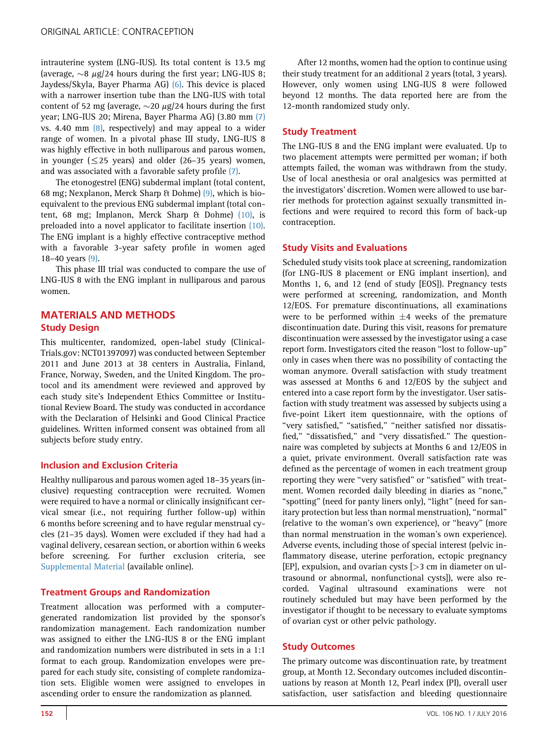intrauterine system (LNG-IUS). Its total content is 13.5 mg (average,  $\sim$ 8  $\mu$ g/24 hours during the first year; LNG-IUS 8; Jaydess/Skyla, Bayer Pharma AG) [\(6\).](#page-5-0) This device is placed with a narrower insertion tube than the LNG-IUS with total content of 52 mg (average,  $\sim$  20  $\mu$ g/24 hours during the first year; LNG-IUS 20; Mirena, Bayer Pharma AG) (3.80 mm [\(7\)](#page-5-0) vs. 4.40 mm [\(8\),](#page-5-0) respectively) and may appeal to a wider range of women. In a pivotal phase III study, LNG-IUS 8 was highly effective in both nulliparous and parous women, in younger  $(\leq 25$  years) and older (26–35 years) women, and was associated with a favorable safety profile [\(7\).](#page-5-0)

The etonogestrel (ENG) subdermal implant (total content, 68 mg; Nexplanon, Merck Sharp & Dohme) [\(9\)](#page-5-0), which is bioequivalent to the previous ENG subdermal implant (total content, 68 mg; Implanon, Merck Sharp & Dohme) [\(10\)](#page-5-0), is preloaded into a novel applicator to facilitate insertion [\(10\).](#page-5-0) The ENG implant is a highly effective contraceptive method with a favorable 3-year safety profile in women aged 18–40 years [\(9\).](#page-5-0)

This phase III trial was conducted to compare the use of LNG-IUS 8 with the ENG implant in nulliparous and parous women.

# MATERIALS AND METHODS Study Design

This multicenter, randomized, open-label study (Clinical-Trials.gov: NCT01397097) was conducted between September 2011 and June 2013 at 38 centers in Australia, Finland, France, Norway, Sweden, and the United Kingdom. The protocol and its amendment were reviewed and approved by each study site's Independent Ethics Committee or Institutional Review Board. The study was conducted in accordance with the Declaration of Helsinki and Good Clinical Practice guidelines. Written informed consent was obtained from all subjects before study entry.

## Inclusion and Exclusion Criteria

Healthy nulliparous and parous women aged 18–35 years (inclusive) requesting contraception were recruited. Women were required to have a normal or clinically insignificant cervical smear (i.e., not requiring further follow-up) within 6 months before screening and to have regular menstrual cycles (21–35 days). Women were excluded if they had had a vaginal delivery, cesarean section, or abortion within 6 weeks before screening. For further exclusion criteria, see [Supplemental Material](#page-7-0) (available online).

## Treatment Groups and Randomization

Treatment allocation was performed with a computergenerated randomization list provided by the sponsor's randomization management. Each randomization number was assigned to either the LNG-IUS 8 or the ENG implant and randomization numbers were distributed in sets in a 1:1 format to each group. Randomization envelopes were prepared for each study site, consisting of complete randomization sets. Eligible women were assigned to envelopes in ascending order to ensure the randomization as planned.

After 12 months, women had the option to continue using their study treatment for an additional 2 years (total, 3 years). However, only women using LNG-IUS 8 were followed beyond 12 months. The data reported here are from the 12-month randomized study only.

## Study Treatment

The LNG-IUS 8 and the ENG implant were evaluated. Up to two placement attempts were permitted per woman; if both attempts failed, the woman was withdrawn from the study. Use of local anesthesia or oral analgesics was permitted at the investigators' discretion. Women were allowed to use barrier methods for protection against sexually transmitted infections and were required to record this form of back-up contraception.

# Study Visits and Evaluations

Scheduled study visits took place at screening, randomization (for LNG-IUS 8 placement or ENG implant insertion), and Months 1, 6, and 12 (end of study [EOS]). Pregnancy tests were performed at screening, randomization, and Month 12/EOS. For premature discontinuations, all examinations were to be performed within  $\pm 4$  weeks of the premature discontinuation date. During this visit, reasons for premature discontinuation were assessed by the investigator using a case report form. Investigators cited the reason ''lost to follow-up'' only in cases when there was no possibility of contacting the woman anymore. Overall satisfaction with study treatment was assessed at Months 6 and 12/EOS by the subject and entered into a case report form by the investigator. User satisfaction with study treatment was assessed by subjects using a five-point Likert item questionnaire, with the options of "very satisfied," "satisfied," "neither satisfied nor dissatisfied," "dissatisfied," and "very dissatisfied." The questionnaire was completed by subjects at Months 6 and 12/EOS in a quiet, private environment. Overall satisfaction rate was defined as the percentage of women in each treatment group reporting they were ''very satisfied'' or ''satisfied'' with treatment. Women recorded daily bleeding in diaries as ''none,'' "spotting" (need for panty liners only), "light" (need for sanitary protection but less than normal menstruation), ''normal'' (relative to the woman's own experience), or ''heavy'' (more than normal menstruation in the woman's own experience). Adverse events, including those of special interest (pelvic inflammatory disease, uterine perforation, ectopic pregnancy [EP], expulsion, and ovarian cysts [>3 cm in diameter on ultrasound or abnormal, nonfunctional cysts]), were also recorded. Vaginal ultrasound examinations were not routinely scheduled but may have been performed by the investigator if thought to be necessary to evaluate symptoms of ovarian cyst or other pelvic pathology.

## Study Outcomes

The primary outcome was discontinuation rate, by treatment group, at Month 12. Secondary outcomes included discontinuations by reason at Month 12, Pearl index (PI), overall user satisfaction, user satisfaction and bleeding questionnaire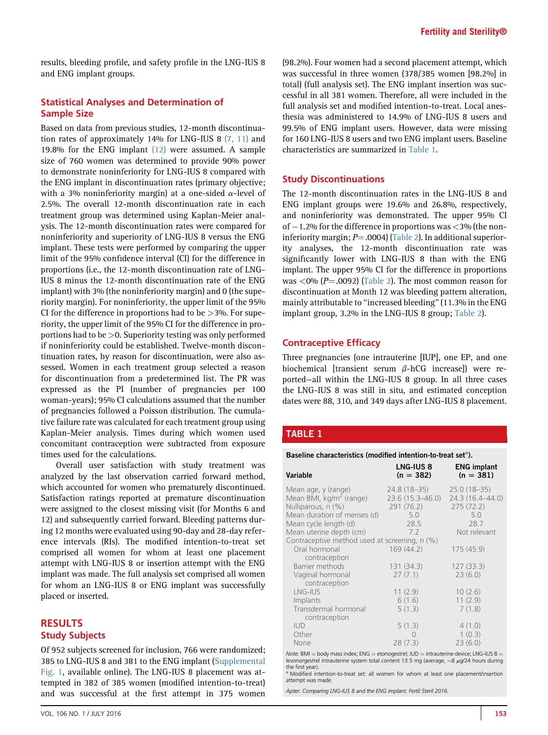results, bleeding profile, and safety profile in the LNG-IUS 8 and ENG implant groups.

#### Statistical Analyses and Determination of Sample Size

Based on data from previous studies, 12-month discontinuation rates of approximately 14% for LNG-IUS 8 [\(7, 11\)](#page-5-0) and 19.8% for the ENG implant [\(12\)](#page-6-0) were assumed. A sample size of 760 women was determined to provide 90% power to demonstrate noninferiority for LNG-IUS 8 compared with the ENG implant in discontinuation rates (primary objective; with a 3% noninferiority margin) at a one-sided  $\alpha$ -level of 2.5%. The overall 12-month discontinuation rate in each treatment group was determined using Kaplan-Meier analysis. The 12-month discontinuation rates were compared for noninferiority and superiority of LNG-IUS 8 versus the ENG implant. These tests were performed by comparing the upper limit of the 95% confidence interval (CI) for the difference in proportions (i.e., the 12-month discontinuation rate of LNG-IUS 8 minus the 12-month discontinuation rate of the ENG implant) with 3% (the noninferiority margin) and 0 (the superiority margin). For noninferiority, the upper limit of the 95% CI for the difference in proportions had to be  $>$ 3%. For superiority, the upper limit of the 95% CI for the difference in proportions had to be >0. Superiority testing was only performed if noninferiority could be established. Twelve-month discontinuation rates, by reason for discontinuation, were also assessed. Women in each treatment group selected a reason for discontinuation from a predetermined list. The PR was expressed as the PI (number of pregnancies per 100 woman-years); 95% CI calculations assumed that the number of pregnancies followed a Poisson distribution. The cumulative failure rate was calculated for each treatment group using Kaplan-Meier analysis. Times during which women used concomitant contraception were subtracted from exposure times used for the calculations.

Overall user satisfaction with study treatment was analyzed by the last observation carried forward method, which accounted for women who prematurely discontinued. Satisfaction ratings reported at premature discontinuation were assigned to the closest missing visit (for Months 6 and 12) and subsequently carried forward. Bleeding patterns during 12 months were evaluated using 90-day and 28-day reference intervals (RIs). The modified intention-to-treat set comprised all women for whom at least one placement attempt with LNG-IUS 8 or insertion attempt with the ENG implant was made. The full analysis set comprised all women for whom an LNG-IUS 8 or ENG implant was successfully placed or inserted.

## **RESULTS** Study Subjects

Of 952 subjects screened for inclusion, 766 were randomized; 385 to LNG-IUS 8 and 381 to the ENG implant ([Supplemental](#page-8-0) [Fig. 1,](#page-8-0) available online). The LNG-IUS 8 placement was attempted in 382 of 385 women (modified intention-to-treat) and was successful at the first attempt in 375 women

(98.2%). Four women had a second placement attempt, which was successful in three women (378/385 women [98.2%] in total) (full analysis set). The ENG implant insertion was successful in all 381 women. Therefore, all were included in the full analysis set and modified intention-to-treat. Local anesthesia was administered to 14.9% of LNG-IUS 8 users and 99.5% of ENG implant users. However, data were missing for 160 LNG-IUS 8 users and two ENG implant users. Baseline characteristics are summarized in Table 1.

#### Study Discontinuations

The 12-month discontinuation rates in the LNG-IUS 8 and ENG implant groups were 19.6% and 26.8%, respectively, and noninferiority was demonstrated. The upper 95% CI of  $-1.2$ % for the difference in proportions was  $<$ 3% (the noninferiority margin;  $P = .0004$ ) ([Table 2](#page-3-0)). In additional superiority analyses, the 12-month discontinuation rate was significantly lower with LNG-IUS 8 than with the ENG implant. The upper 95% CI for the difference in proportions was  $<0\%$  (P=.0092) ([Table 2](#page-3-0)). The most common reason for discontinuation at Month 12 was bleeding pattern alteration, mainly attributable to ''increased bleeding'' (11.3% in the ENG implant group, 3.2% in the LNG-IUS 8 group; [Table 2\)](#page-3-0).

#### Contraceptive Efficacy

Three pregnancies (one intrauterine [IUP], one EP, and one biochemical [transient serum  $\beta$ -hCG increase]) were reported—all within the LNG-IUS 8 group. In all three cases the LNG-IUS 8 was still in situ, and estimated conception dates were 88, 310, and 349 days after LNG-IUS 8 placement.

#### TABLE 1

Baseline characteristics (modified intention-to-treat set<sup>a</sup>).

| Variable                                      | <b>LNG-IUS 8</b><br>$(n = 382)$ | <b>ENG implant</b><br>$(n = 381)$ |
|-----------------------------------------------|---------------------------------|-----------------------------------|
| Mean age, y (range)                           | 24.8 (18–35)                    | $25.0(18-35)$                     |
| Mean BMI, $kg/m^2$ (range)                    | $23.6(15.3 - 46.0)$             | 24.3 (16.4-44.0)                  |
| Nulliparous, n (%)                            | 291(76.2)                       | 275(72.2)                         |
| Mean duration of menses (d)                   | 5.0                             | 5.0                               |
| Mean cycle length (d)                         | 28.5                            | 28.7                              |
| Mean uterine depth (cm)                       | 7.2                             | Not relevant                      |
| Contraceptive method used at screening, n (%) |                                 |                                   |
| Oral hormonal<br>contraception                | 169(44.2)                       | 175 (45.9)                        |
| Barrier methods                               | 131(34.3)                       | 127(33.3)                         |
| Vaginal hormonal<br>contraception             | 27(7.1)                         | 23(6.0)                           |
| LNG-IUS                                       | 11(2.9)                         | 10(2.6)                           |
| Implants                                      | 6(1.6)                          | 11(2.9)                           |
| Transdermal hormonal<br>contraception         | 5(1.3)                          | 7(1.8)                            |
| <b>IUD</b>                                    | 5(1.3)                          | 4(1.0)                            |
| Other                                         | $\bigcap$                       | 1(0.3)                            |
| None                                          | 28(7.3)                         | 23(6.0)                           |

Note: BMI  $=$  body mass index; ENG  $=$  etonogestrel; IUD  $=$  intrauterine device; LNG-IUS 8  $=$ levonorgestrel intrauterine system total content 13.5 mg (average,  $\sim$ 8  $\mu$ g/24 hours during the first year).

Modified intention-to-treat set: all women for whom at least one placement/insertion attempt was made.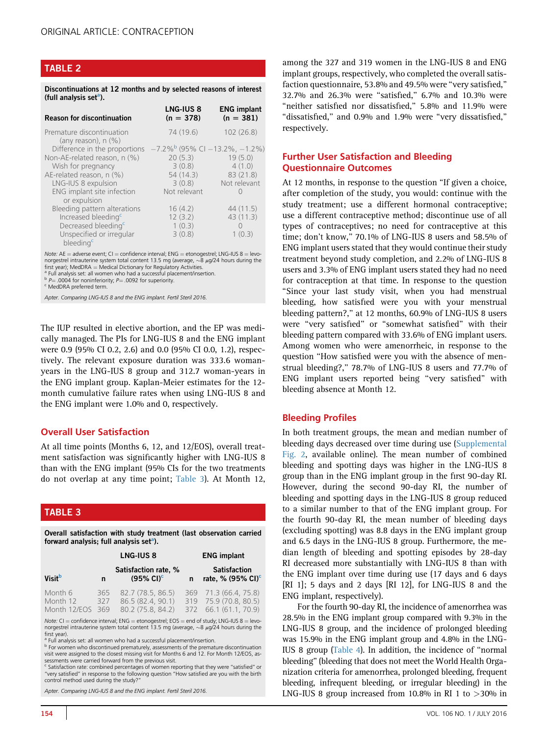## <span id="page-3-0"></span>TABLE 2

Discontinuations at 12 months and by selected reasons of interest (full analysis set<sup>a</sup>).

| <b>Reason for discontinuation</b>                     | <b>LNG-IUS 8</b><br>$(n = 378)$                      | <b>ENG implant</b><br>$(n = 381)$ |
|-------------------------------------------------------|------------------------------------------------------|-----------------------------------|
| Premature discontinuation<br>(any reason), $n$ $(\%)$ | 74 (19.6)                                            | 102(26.8)                         |
| Difference in the proportions                         | $-7.2\%$ <sup>b</sup> (95% CI $-13.2\%$ , $-1.2\%$ ) |                                   |
| Non-AE-related reason, n (%)                          | 20(5.3)                                              | 19(5.0)                           |
| Wish for pregnancy                                    | 3(0.8)                                               | 4(1.0)                            |
| AE-related reason, n (%)                              | 54 (14.3)                                            | 83(21.8)                          |
| LNG-IUS 8 expulsion                                   | 3(0.8)                                               | Not relevant                      |
| ENG implant site infection<br>or expulsion            | Not relevant                                         |                                   |
| Bleeding pattern alterations                          | 16(4.2)                                              | 44(11.5)                          |
| Increased bleeding <sup>c</sup>                       | 12(3.2)                                              | 43(11.3)                          |
| Decreased bleeding <sup>c</sup>                       | 1(0.3)                                               | $\bigcap$                         |
| Unspecified or irregular<br>bleeding <sup>c</sup>     | 3(0.8)                                               | 1(0.3)                            |

Note:  $AF =$  adverse event;  $CI =$  confidence interval;  $FNG =$  etonogestrel; LNG-IUS  $8 =$  levonorgestrel intrauterine system total content 13.5 mg (average, ~8 μg/24 hours during the<br>first year); MedDRA = Medical Dictionary for Regulatory Activities.<br>ª Full analysis set: all women who had a successful placement/in

<sup>a</sup> Full analysis set: all women who had a successful placement/insertion.<br><sup>b</sup> *P*= .0004 for noninferiority; *P*= .0092 for superiority.<br><sup>c</sup> MedDRA preferred term.

Apter. Comparing LNG-IUS 8 and the ENG implant. Fertil Steril 2016.

The IUP resulted in elective abortion, and the EP was medically managed. The PIs for LNG-IUS 8 and the ENG implant were 0.9 (95% CI 0.2, 2.6) and 0.0 (95% CI 0.0, 1.2), respectively. The relevant exposure duration was 333.6 womanyears in the LNG-IUS 8 group and 312.7 woman-years in the ENG implant group. Kaplan-Meier estimates for the 12 month cumulative failure rates when using LNG-IUS 8 and the ENG implant were 1.0% and 0, respectively.

#### Overall User Satisfaction

At all time points (Months 6, 12, and 12/EOS), overall treatment satisfaction was significantly higher with LNG-IUS 8 than with the ENG implant (95% CIs for the two treatments do not overlap at any time point; Table 3). At Month 12,

## TABLE 3

Overall satisfaction with study treatment (last observation carried forward analysis; full analysis set<sup>a</sup>).

|                                     |                   | LNG-IUS 8                                                   |   | <b>ENG implant</b>                                                      |  |  |
|-------------------------------------|-------------------|-------------------------------------------------------------|---|-------------------------------------------------------------------------|--|--|
| <b>Visit</b> <sup>b</sup>           | n                 | Satisfaction rate, %<br>$(95\% \text{ Cl})^c$               | n | <b>Satisfaction</b><br>rate, % $(95\% \text{ Cl})^c$                    |  |  |
| Month 6<br>Month 12<br>Month 12/EOS | 365<br>327<br>369 | 82.7 (78.5, 86.5)<br>86.5 (82.4, 90.1)<br>80.2 (75.8, 84.2) |   | 369 71.3 (66.4, 75.8)<br>319 75.9 (70.8, 80.5)<br>372 66.1 (61.1, 70.9) |  |  |

Note: CI = confidence interval; ENG = etonogestrel; EOS = end of study; LNG-IUS 8 = levo-<br>norgestrel intrauterine system total content 13.5 mg (average, ~8 µg/24 hours during the first year).

<sup>3</sup> Full analysis set: all women who had a successful placement/insertion.

b For women who discontinued prematurely, assessments of the premature discontinuation visit were assigned to the closest missing visit for Months 6 and 12. For Month 12/EOS, assessments were carried forward from the previous visit.

<sup>c</sup> Satisfaction rate: combined percentages of women reporting that they were "satisfied" or<br>"very satisfied" in response to the following question "How satisfied are you with the birth control method used during the study?''

Apter. Comparing LNG-IUS 8 and the ENG implant. Fertil Steril 2016.

among the 327 and 319 women in the LNG-IUS 8 and ENG implant groups, respectively, who completed the overall satisfaction questionnaire, 53.8% and 49.5% were ''very satisfied,'' 32.7% and 26.3% were ''satisfied,'' 6.7% and 10.3% were "neither satisfied nor dissatisfied," 5.8% and 11.9% were ''dissatisfied,'' and 0.9% and 1.9% were ''very dissatisfied,'' respectively.

## Further User Satisfaction and Bleeding Questionnaire Outcomes

At 12 months, in response to the question ''If given a choice, after completion of the study, you would: continue with the study treatment; use a different hormonal contraceptive; use a different contraceptive method; discontinue use of all types of contraceptives; no need for contraceptive at this time; don't know,'' 70.1% of LNG-IUS 8 users and 58.5% of ENG implant users stated that they would continue their study treatment beyond study completion, and 2.2% of LNG-IUS 8 users and 3.3% of ENG implant users stated they had no need for contraception at that time. In response to the question ''Since your last study visit, when you had menstrual bleeding, how satisfied were you with your menstrual bleeding pattern?,'' at 12 months, 60.9% of LNG-IUS 8 users were ''very satisfied'' or ''somewhat satisfied'' with their bleeding pattern compared with 33.6% of ENG implant users. Among women who were amenorrheic, in response to the question ''How satisfied were you with the absence of menstrual bleeding?,'' 78.7% of LNG-IUS 8 users and 77.7% of ENG implant users reported being ''very satisfied'' with bleeding absence at Month 12.

#### Bleeding Profiles

In both treatment groups, the mean and median number of bleeding days decreased over time during use ([Supplemental](#page-9-0) [Fig. 2](#page-9-0), available online). The mean number of combined bleeding and spotting days was higher in the LNG-IUS 8 group than in the ENG implant group in the first 90-day RI. However, during the second 90-day RI, the number of bleeding and spotting days in the LNG-IUS 8 group reduced to a similar number to that of the ENG implant group. For the fourth 90-day RI, the mean number of bleeding days (excluding spotting) was 8.8 days in the ENG implant group and 6.5 days in the LNG-IUS 8 group. Furthermore, the median length of bleeding and spotting episodes by 28-day RI decreased more substantially with LNG-IUS 8 than with the ENG implant over time during use (17 days and 6 days [RI 1]; 5 days and 2 days [RI 12], for LNG-IUS 8 and the ENG implant, respectively).

For the fourth 90-day RI, the incidence of amenorrhea was 28.5% in the ENG implant group compared with 9.3% in the LNG-IUS 8 group, and the incidence of prolonged bleeding was 15.9% in the ENG implant group and 4.8% in the LNG-IUS 8 group [\(Table 4](#page-4-0)). In addition, the incidence of ''normal bleeding'' (bleeding that does not meet the World Health Organization criteria for amenorrhea, prolonged bleeding, frequent bleeding, infrequent bleeding, or irregular bleeding) in the LNG-IUS 8 group increased from 10.8% in RI 1 to  $>$ 30% in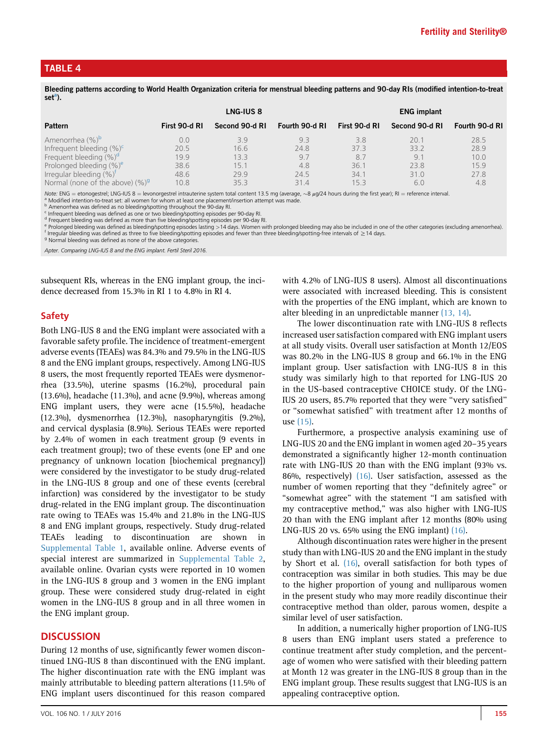#### <span id="page-4-0"></span>TABLE 4

Bleeding patterns according to World Health Organization criteria for menstrual bleeding patterns and 90-day RIs (modified intention-to-treat  $set<sup>a</sup>$ ).

|                                     |               | LNG-IUS <sub>8</sub> |                |               | <b>ENG implant</b> |                |
|-------------------------------------|---------------|----------------------|----------------|---------------|--------------------|----------------|
| <b>Pattern</b>                      | First 90-d RI | Second 90-d RI       | Fourth 90-d RI | First 90-d RI | Second 90-d RI     | Fourth 90-d RI |
| Amenorrhea (%) <sup>b</sup>         | 0.0           | 3.9                  | 9.3            | 3.8           | 20.1               | 28.5           |
| Infrequent bleeding $(\%)^c$        | 20.5          | 16.6                 | 24.8           | 373           | 33.2               | 28.9           |
| Frequent bleeding $(\%)^d$          | 19.9          | 13.3                 | 9.7            | 8.7           | 9.                 | 10.0           |
| Prolonged bleeding (%) <sup>e</sup> | 38.6          | 15.1                 | 4.8            | 36.1          | 23.8               | 15.9           |
| Irregular bleeding $(\%)^T$         | 48.6          | 29.9                 | 24.5           | 34.1          | 31.0               | 27.8           |
| Normal (none of the above) $(\%)^9$ | 10.8          | 35.3                 | 31.4           | 153           | 6.0                | 4.8            |

Note: ENG = etonogestrel; LNG-IUS 8 = levonorgestrel intrauterine system total content 13.5 mg (average,  $\sim$ 8 µg/24 hours during the first year); RI = reference interval.<br>
<sup>a</sup> Modified intention-to-treat set: all women f

Apter. Comparing LNG-IUS 8 and the ENG implant. Fertil Steril 2016.

subsequent RIs, whereas in the ENG implant group, the incidence decreased from 15.3% in RI 1 to 4.8% in RI 4.

#### Safety

Both LNG-IUS 8 and the ENG implant were associated with a favorable safety profile. The incidence of treatment-emergent adverse events (TEAEs) was 84.3% and 79.5% in the LNG-IUS 8 and the ENG implant groups, respectively. Among LNG-IUS 8 users, the most frequently reported TEAEs were dysmenorrhea (33.5%), uterine spasms (16.2%), procedural pain (13.6%), headache (11.3%), and acne (9.9%), whereas among ENG implant users, they were acne (15.5%), headache (12.3%), dysmenorrhea (12.3%), nasopharyngitis (9.2%), and cervical dysplasia (8.9%). Serious TEAEs were reported by 2.4% of women in each treatment group (9 events in each treatment group); two of these events (one EP and one pregnancy of unknown location [biochemical pregnancy]) were considered by the investigator to be study drug-related in the LNG-IUS 8 group and one of these events (cerebral infarction) was considered by the investigator to be study drug-related in the ENG implant group. The discontinuation rate owing to TEAEs was 15.4% and 21.8% in the LNG-IUS 8 and ENG implant groups, respectively. Study drug-related TEAEs leading to discontinuation are shown in [Supplemental Table 1](#page-10-0), available online. Adverse events of special interest are summarized in [Supplemental Table 2,](#page-11-0) available online. Ovarian cysts were reported in 10 women in the LNG-IUS 8 group and 3 women in the ENG implant group. These were considered study drug-related in eight women in the LNG-IUS 8 group and in all three women in the ENG implant group.

#### **DISCUSSION**

During 12 months of use, significantly fewer women discontinued LNG-IUS 8 than discontinued with the ENG implant. The higher discontinuation rate with the ENG implant was mainly attributable to bleeding pattern alterations (11.5% of ENG implant users discontinued for this reason compared

with 4.2% of LNG-IUS 8 users). Almost all discontinuations were associated with increased bleeding. This is consistent with the properties of the ENG implant, which are known to alter bleeding in an unpredictable manner [\(13, 14\)](#page-6-0).

The lower discontinuation rate with LNG-IUS 8 reflects increased user satisfaction compared with ENG implant users at all study visits. Overall user satisfaction at Month 12/EOS was 80.2% in the LNG-IUS 8 group and 66.1% in the ENG implant group. User satisfaction with LNG-IUS 8 in this study was similarly high to that reported for LNG-IUS 20 in the US-based contraceptive CHOICE study. Of the LNG-IUS 20 users, 85.7% reported that they were ''very satisfied'' or ''somewhat satisfied'' with treatment after 12 months of use [\(15\).](#page-6-0)

Furthermore, a prospective analysis examining use of LNG-IUS 20 and the ENG implant in women aged 20–35 years demonstrated a significantly higher 12-month continuation rate with LNG-IUS 20 than with the ENG implant (93% vs. 86%, respectively) [\(16\).](#page-6-0) User satisfaction, assessed as the number of women reporting that they "definitely agree" or ''somewhat agree'' with the statement ''I am satisfied with my contraceptive method,'' was also higher with LNG-IUS 20 than with the ENG implant after 12 months (80% using LNG-IUS 20 vs. 65% using the ENG implant) [\(16\).](#page-6-0)

Although discontinuation rates were higher in the present study than with LNG-IUS 20 and the ENG implant in the study by Short et al. [\(16\)](#page-6-0), overall satisfaction for both types of contraception was similar in both studies. This may be due to the higher proportion of young and nulliparous women in the present study who may more readily discontinue their contraceptive method than older, parous women, despite a similar level of user satisfaction.

In addition, a numerically higher proportion of LNG-IUS 8 users than ENG implant users stated a preference to continue treatment after study completion, and the percentage of women who were satisfied with their bleeding pattern at Month 12 was greater in the LNG-IUS 8 group than in the ENG implant group. These results suggest that LNG-IUS is an appealing contraceptive option.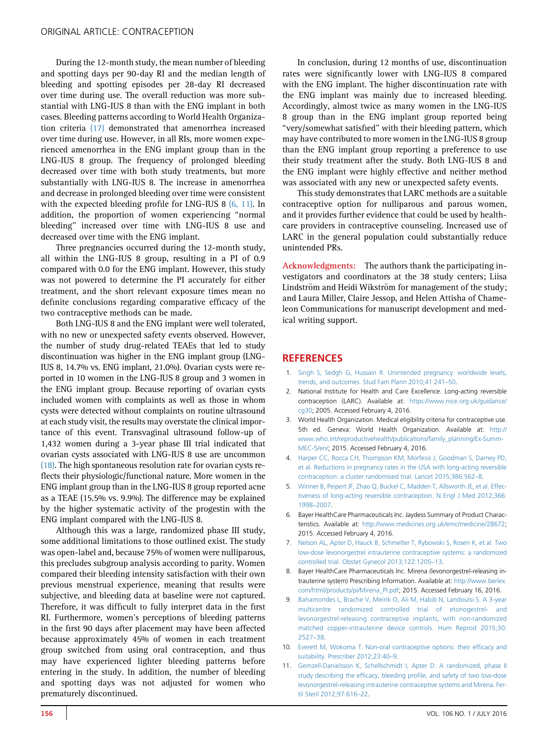<span id="page-5-0"></span>During the 12-month study, the mean number of bleeding and spotting days per 90-day RI and the median length of bleeding and spotting episodes per 28-day RI decreased over time during use. The overall reduction was more substantial with LNG-IUS 8 than with the ENG implant in both cases. Bleeding patterns according to World Health Organization criteria [\(17\)](#page-6-0) demonstrated that amenorrhea increased over time during use. However, in all RIs, more women experienced amenorrhea in the ENG implant group than in the LNG-IUS 8 group. The frequency of prolonged bleeding decreased over time with both study treatments, but more substantially with LNG-IUS 8. The increase in amenorrhea and decrease in prolonged bleeding over time were consistent with the expected bleeding profile for LNG-IUS 8 (6, 11). In addition, the proportion of women experiencing ''normal bleeding'' increased over time with LNG-IUS 8 use and decreased over time with the ENG implant.

Three pregnancies occurred during the 12-month study, all within the LNG-IUS 8 group, resulting in a PI of 0.9 compared with 0.0 for the ENG implant. However, this study was not powered to determine the PI accurately for either treatment, and the short relevant exposure times mean no definite conclusions regarding comparative efficacy of the two contraceptive methods can be made.

Both LNG-IUS 8 and the ENG implant were well tolerated, with no new or unexpected safety events observed. However, the number of study drug-related TEAEs that led to study discontinuation was higher in the ENG implant group (LNG-IUS 8, 14.7% vs. ENG implant, 21.0%). Ovarian cysts were reported in 10 women in the LNG-IUS 8 group and 3 women in the ENG implant group. Because reporting of ovarian cysts included women with complaints as well as those in whom cysts were detected without complaints on routine ultrasound at each study visit, the results may overstate the clinical importance of this event. Transvaginal ultrasound follow-up of 1,432 women during a 3-year phase III trial indicated that ovarian cysts associated with LNG-IUS 8 use are uncommon [\(18\)](#page-6-0). The high spontaneous resolution rate for ovarian cysts reflects their physiologic/functional nature. More women in the ENG implant group than in the LNG-IUS 8 group reported acne as a TEAE (15.5% vs. 9.9%). The difference may be explained by the higher systematic activity of the progestin with the ENG implant compared with the LNG-IUS 8.

Although this was a large, randomized phase III study, some additional limitations to those outlined exist. The study was open-label and, because 75% of women were nulliparous, this precludes subgroup analysis according to parity. Women compared their bleeding intensity satisfaction with their own previous menstrual experience, meaning that results were subjective, and bleeding data at baseline were not captured. Therefore, it was difficult to fully interpret data in the first RI. Furthermore, women's perceptions of bleeding patterns in the first 90 days after placement may have been affected because approximately 45% of women in each treatment group switched from using oral contraception, and thus may have experienced lighter bleeding patterns before entering in the study. In addition, the number of bleeding and spotting days was not adjusted for women who prematurely discontinued.

In conclusion, during 12 months of use, discontinuation rates were significantly lower with LNG-IUS 8 compared with the ENG implant. The higher discontinuation rate with the ENG implant was mainly due to increased bleeding. Accordingly, almost twice as many women in the LNG-IUS 8 group than in the ENG implant group reported being ''very/somewhat satisfied'' with their bleeding pattern, which may have contributed to more women in the LNG-IUS 8 group than the ENG implant group reporting a preference to use their study treatment after the study. Both LNG-IUS 8 and the ENG implant were highly effective and neither method was associated with any new or unexpected safety events.

This study demonstrates that LARC methods are a suitable contraceptive option for nulliparous and parous women, and it provides further evidence that could be used by healthcare providers in contraceptive counseling. Increased use of LARC in the general population could substantially reduce unintended PRs.

Acknowledgments: The authors thank the participating investigators and coordinators at the 38 study centers; Liisa Lindström and Heidi Wikström for management of the study; and Laura Miller, Claire Jessop, and Helen Attisha of Chameleon Communications for manuscript development and medical writing support.

## **REFERENCES**

- 1. [Singh S, Sedgh G, Hussain R. Unintended pregnancy: worldwide levels,](http://refhub.elsevier.com/S0015-0282(16)30009-7/sref1) [trends, and outcomes. Stud Fam Plann 2010;41:241](http://refhub.elsevier.com/S0015-0282(16)30009-7/sref1)–50.
- 2. National Institute for Health and Care Excellence. Long-acting reversible contraception (LARC). Available at: [https://www.nice.org.uk/guidance/](https://www.nice.org.uk/guidance/cg30) [cg30](https://www.nice.org.uk/guidance/cg30); 2005. Accessed February 4, 2016.
- 3. World Health Organization. Medical eligibility criteria for contraceptive use. 5th ed. Geneva: World Health Organization. Available at: [http://](http://www.who.int/reproductivehealth/publications/family_planning/Ex-Summ-MEC-5/en/) [www.who.int/reproductivehealth/publications/family\\_planning/Ex-Summ-](http://www.who.int/reproductivehealth/publications/family_planning/Ex-Summ-MEC-5/en/)[MEC-5/en/](http://www.who.int/reproductivehealth/publications/family_planning/Ex-Summ-MEC-5/en/); 2015. Accessed February 4, 2016.
- 4. [Harper CC, Rocca CH, Thompson KM, Morfesis J, Goodman S, Darney PD,](http://refhub.elsevier.com/S0015-0282(16)30009-7/sref4) [et al. Reductions in pregnancy rates in the USA with long-acting reversible](http://refhub.elsevier.com/S0015-0282(16)30009-7/sref4) [contraception: a cluster randomised trial. Lancet 2015;386:562](http://refhub.elsevier.com/S0015-0282(16)30009-7/sref4)–8.
- 5. [Winner B, Peipert JF, Zhao Q, Buckel C, Madden T, Allsworth JE, et al. Effec](http://refhub.elsevier.com/S0015-0282(16)30009-7/sref5)[tiveness of long-acting reversible contraception. N Engl J Med 2012;366:](http://refhub.elsevier.com/S0015-0282(16)30009-7/sref5) 1998–[2007.](http://refhub.elsevier.com/S0015-0282(16)30009-7/sref5)
- 6. Bayer HealthCare Pharmaceuticals Inc. Jaydess Summary of Product Characteristics. Available at: <http://www.medicines.org.uk/emc/medicine/28672>; 2015. Accessed February 4, 2016.
- 7. [Nelson AL, Apter D, Hauck B, Schmelter T, Rybowski S, Rosen K, et al. Two](http://refhub.elsevier.com/S0015-0282(16)30009-7/sref7) [low-dose levonorgestrel intrauterine contraceptive systems: a randomized](http://refhub.elsevier.com/S0015-0282(16)30009-7/sref7) [controlled trial. Obstet Gynecol 2013;122:1205](http://refhub.elsevier.com/S0015-0282(16)30009-7/sref7)–13.
- 8. Bayer HealthCare Pharmaceuticals Inc. Mirena (levonorgestrel-releasing intrauterine system) Prescribing Information. Available at: [http://www.berlex.](http://www.berlex.com/html/products/pi/Mirena_PI.pdf) [com/html/products/pi/Mirena\\_PI.pdf;](http://www.berlex.com/html/products/pi/Mirena_PI.pdf) 2015. Accessed February 16, 2016.
- 9. [Bahamondes L, Brache V, Meirik O, Ali M, Habib N, Landoulsi S. A 3-year](http://refhub.elsevier.com/S0015-0282(16)30009-7/sref9) [multicentre randomized controlled trial of etonogestrel- and](http://refhub.elsevier.com/S0015-0282(16)30009-7/sref9) [levonorgestrel-releasing contraceptive implants, with non-randomized](http://refhub.elsevier.com/S0015-0282(16)30009-7/sref9) [matched copper-intrauterine device controls. Hum Reprod 2015;30:](http://refhub.elsevier.com/S0015-0282(16)30009-7/sref9) [2527](http://refhub.elsevier.com/S0015-0282(16)30009-7/sref9)–38.
- 10. [Everett M, Wokoma T. Non-oral contraceptive options: their ef](http://refhub.elsevier.com/S0015-0282(16)30009-7/sref10)ficacy and [suitability. Prescriber 2012;23:40](http://refhub.elsevier.com/S0015-0282(16)30009-7/sref10)–9.
- 11. [Gemzell-Danielsson K, Schellschmidt I, Apter D. A randomized, phase II](http://refhub.elsevier.com/S0015-0282(16)30009-7/sref11) study describing the efficacy, bleeding profi[le, and safety of two low-dose](http://refhub.elsevier.com/S0015-0282(16)30009-7/sref11) [levonorgestrel-releasing intrauterine contraceptive systems and Mirena. Fer](http://refhub.elsevier.com/S0015-0282(16)30009-7/sref11)[til Steril 2012;97:616](http://refhub.elsevier.com/S0015-0282(16)30009-7/sref11)–22.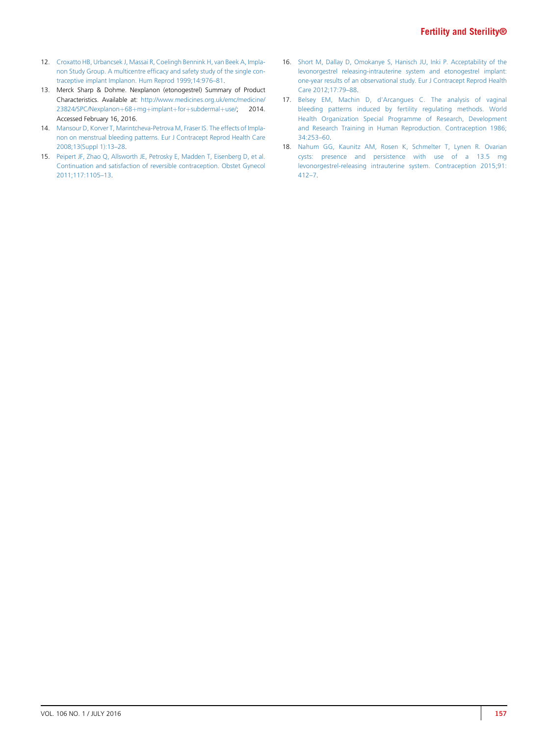- <span id="page-6-0"></span>12. [Croxatto HB, Urbancsek J, Massai R, Coelingh Bennink H, van Beek A, Impla](http://refhub.elsevier.com/S0015-0282(16)30009-7/sref12)non Study Group. A multicentre effi[cacy and safety study of the single con](http://refhub.elsevier.com/S0015-0282(16)30009-7/sref12)[traceptive implant Implanon. Hum Reprod 1999;14:976](http://refhub.elsevier.com/S0015-0282(16)30009-7/sref12)–81.
- 13. Merck Sharp & Dohme. Nexplanon (etonogestrel) Summary of Product Characteristics. Available at: [http://www.medicines.org.uk/emc/medicine/](http://www.medicines.org.uk/emc/medicine/23824/SPC/Nexplanon+68+mg+implant+for+subdermal+use/) [23824/SPC/Nexplanon](http://www.medicines.org.uk/emc/medicine/23824/SPC/Nexplanon+68+mg+implant+for+subdermal+use/)+[68](http://www.medicines.org.uk/emc/medicine/23824/SPC/Nexplanon+68+mg+implant+for+subdermal+use/)+[mg](http://www.medicines.org.uk/emc/medicine/23824/SPC/Nexplanon+68+mg+implant+for+subdermal+use/)+[implant](http://www.medicines.org.uk/emc/medicine/23824/SPC/Nexplanon+68+mg+implant+for+subdermal+use/)+[for](http://www.medicines.org.uk/emc/medicine/23824/SPC/Nexplanon+68+mg+implant+for+subdermal+use/)+[subdermal](http://www.medicines.org.uk/emc/medicine/23824/SPC/Nexplanon+68+mg+implant+for+subdermal+use/)+[use/;](http://www.medicines.org.uk/emc/medicine/23824/SPC/Nexplanon+68+mg+implant+for+subdermal+use/) 2014. Accessed February 16, 2016.
- 14. [Mansour D, Korver T, Marintcheva-Petrova M, Fraser IS. The effects of Impla](http://refhub.elsevier.com/S0015-0282(16)30009-7/sref14)[non on menstrual bleeding patterns. Eur J Contracept Reprod Health Care](http://refhub.elsevier.com/S0015-0282(16)30009-7/sref14) [2008;13\(Suppl 1\):13](http://refhub.elsevier.com/S0015-0282(16)30009-7/sref14)–28.
- 15. [Peipert JF, Zhao Q, Allsworth JE, Petrosky E, Madden T, Eisenberg D, et al.](http://refhub.elsevier.com/S0015-0282(16)30009-7/sref15) [Continuation and satisfaction of reversible contraception. Obstet Gynecol](http://refhub.elsevier.com/S0015-0282(16)30009-7/sref15) [2011;117:1105](http://refhub.elsevier.com/S0015-0282(16)30009-7/sref15)–13.
- 16. [Short M, Dallay D, Omokanye S, Hanisch JU, Inki P. Acceptability of the](http://refhub.elsevier.com/S0015-0282(16)30009-7/sref16) [levonorgestrel releasing-intrauterine system and etonogestrel implant:](http://refhub.elsevier.com/S0015-0282(16)30009-7/sref16) [one-year results of an observational study. Eur J Contracept Reprod Health](http://refhub.elsevier.com/S0015-0282(16)30009-7/sref16) [Care 2012;17:79](http://refhub.elsevier.com/S0015-0282(16)30009-7/sref16)–88.
- 17. [Belsey EM, Machin D, d'Arcangues C. The analysis of vaginal](http://refhub.elsevier.com/S0015-0282(16)30009-7/sref17) [bleeding patterns induced by fertility regulating methods. World](http://refhub.elsevier.com/S0015-0282(16)30009-7/sref17) [Health Organization Special Programme of Research, Development](http://refhub.elsevier.com/S0015-0282(16)30009-7/sref17) [and Research Training in Human Reproduction. Contraception 1986;](http://refhub.elsevier.com/S0015-0282(16)30009-7/sref17) [34:253](http://refhub.elsevier.com/S0015-0282(16)30009-7/sref17)–60.
- 18. [Nahum GG, Kaunitz AM, Rosen K, Schmelter T, Lynen R. Ovarian](http://refhub.elsevier.com/S0015-0282(16)30009-7/sref18) [cysts: presence and persistence with use of a 13.5 mg](http://refhub.elsevier.com/S0015-0282(16)30009-7/sref18) [levonorgestrel-releasing intrauterine system. Contraception 2015;91:](http://refhub.elsevier.com/S0015-0282(16)30009-7/sref18) [412](http://refhub.elsevier.com/S0015-0282(16)30009-7/sref18)–7.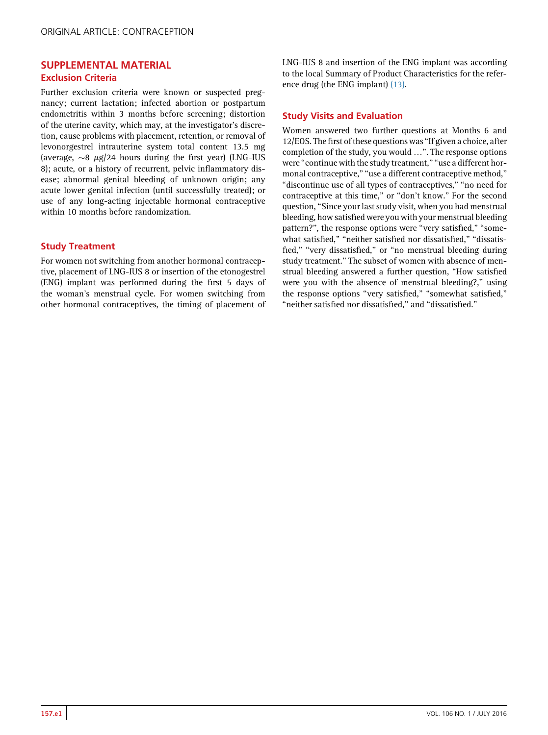## <span id="page-7-0"></span>SUPPLEMENTAL MATERIAL Exclusion Criteria

Further exclusion criteria were known or suspected pregnancy; current lactation; infected abortion or postpartum endometritis within 3 months before screening; distortion of the uterine cavity, which may, at the investigator's discretion, cause problems with placement, retention, or removal of levonorgestrel intrauterine system total content 13.5 mg (average,  $\sim$ 8  $\mu$ g/24 hours during the first year) (LNG-IUS 8); acute, or a history of recurrent, pelvic inflammatory disease; abnormal genital bleeding of unknown origin; any acute lower genital infection (until successfully treated); or use of any long-acting injectable hormonal contraceptive within 10 months before randomization.

## Study Treatment

For women not switching from another hormonal contraceptive, placement of LNG-IUS 8 or insertion of the etonogestrel (ENG) implant was performed during the first 5 days of the woman's menstrual cycle. For women switching from other hormonal contraceptives, the timing of placement of LNG-IUS 8 and insertion of the ENG implant was according to the local Summary of Product Characteristics for the reference drug (the ENG implant) [\(13\).](#page-6-0)

## Study Visits and Evaluation

Women answered two further questions at Months 6 and 12/EOS. The first of these questions was "If given a choice, after completion of the study, you would ...". The response options were "continue with the study treatment," "use a different hormonal contraceptive," "use a different contraceptive method," "discontinue use of all types of contraceptives," "no need for contraceptive at this time,'' or ''don't know.'' For the second question, ''Since your last study visit, when you had menstrual bleeding, how satisfied were you with your menstrual bleeding pattern?", the response options were "very satisfied," "somewhat satisfied," "neither satisfied nor dissatisfied," "dissatisfied," "very dissatisfied," or "no menstrual bleeding during study treatment.'' The subset of women with absence of menstrual bleeding answered a further question, ''How satisfied were you with the absence of menstrual bleeding?,'' using the response options ''very satisfied,'' ''somewhat satisfied,'' ''neither satisfied nor dissatisfied,'' and ''dissatisfied.''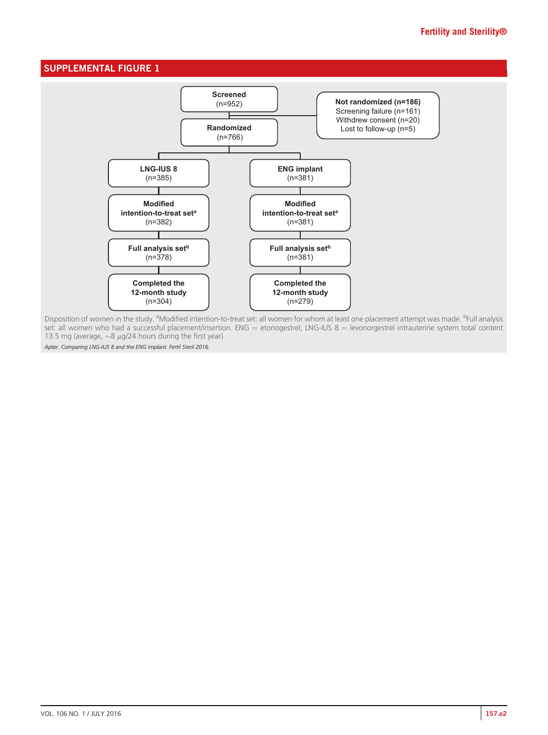## <span id="page-8-0"></span>SUPPLEMENTAL FIGURE 1



Disposition of women in the study. <sup>a</sup>Modified intention-to-treat set: all women for whom at least one placement attempt was made. <sup>b</sup>Full analysis set: all women who had a successful placement/insertion. ENG = etonogestrel; LNG-IUS 8 = levonorgestrel intrauterine system total content 13.5 mg (average,  $\sim$ 8  $\mu$ g/24 hours during the first year).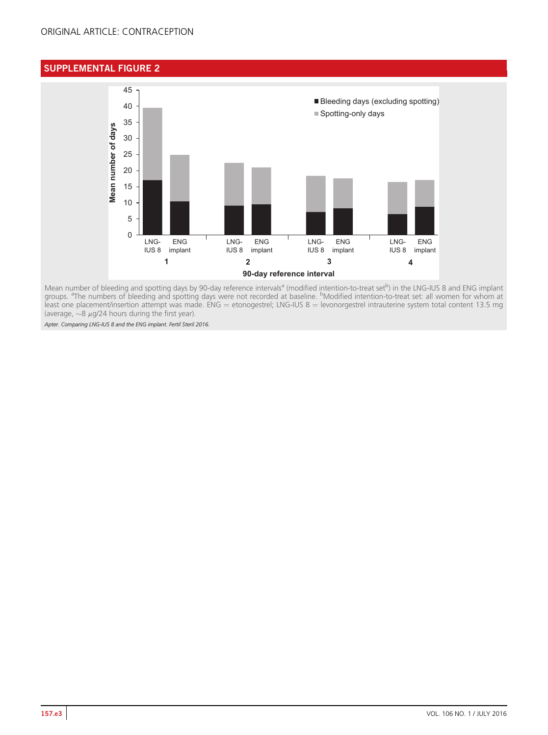# <span id="page-9-0"></span>SUPPLEMENTAL FIGURE 2



Mean number of bleeding and spotting days by 90-day reference intervals<sup>a</sup> (modified intention-to-treat set<sup>b</sup>) in the LNG-IUS 8 and ENG implant groups. <sup>a</sup>The numbers of bleeding and spotting days were not recorded at baseline. <sup>b</sup>Modified intention-to-treat set: all women for whom at least one placement/insertion attempt was made. ENG = etonogestrel; LNG-IUS 8 = levonorgestrel intrauterine system total content 13.5 mg (average,  $\sim$ 8  $\mu$ g/24 hours during the first year).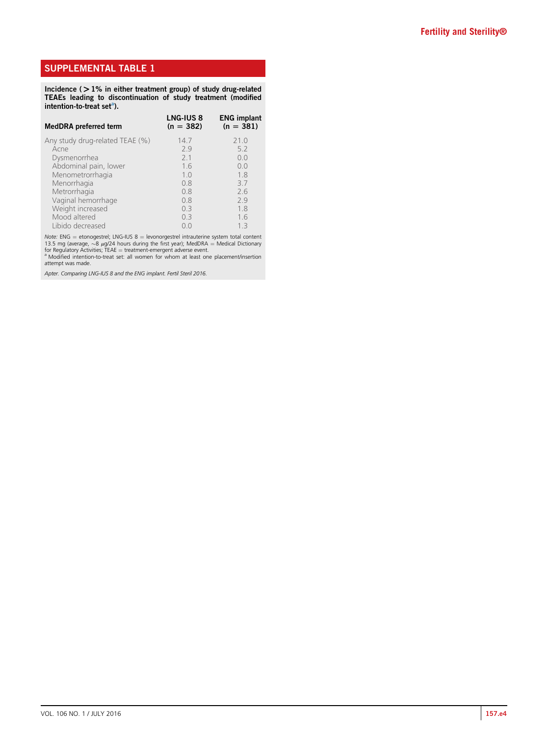# <span id="page-10-0"></span>SUPPLEMENTAL TABLE 1

Incidence (>1% in either treatment group) of study drug-related TEAEs leading to discontinuation of study treatment (modified intention-to-treat set<sup>a</sup>).

| <b>MedDRA</b> preferred term    | <b>LNG-IUS 8</b><br>$(n = 382)$ | <b>ENG implant</b><br>$(n = 381)$ |
|---------------------------------|---------------------------------|-----------------------------------|
| Any study drug-related TEAE (%) | 14.7                            | 21.0                              |
| Acne                            | 79                              | 5.2                               |
| Dysmenorrhea                    | 21                              | 0.0                               |
| Abdominal pain, lower           | 1.6                             | 0.0                               |
| Menometrorrhagia                | 1.0                             | 1.8                               |
| Menorrhagia                     | 0.8                             | 3.7                               |
| Metrorrhagia                    | 0.8                             | 2.6                               |
| Vaginal hemorrhage              | 0.8                             | 2.9                               |
| Weight increased                | 0.3                             | 1.8                               |
| Mood altered                    | 0.3                             | 1.6                               |
| Libido decreased                | O O                             | 13                                |

Note: ENG = etonogestrel; LNG-IUS 8 = levonorgestrel intrauterine system total content<br>13.5 mg (average,  $\sim$ 8 µg/24 hours during the first year); MedDRA = Medical Dictionary for Regulatory Activities; TEAE = treatment-emergent adverse event.<br><sup>a</sup> Modified intention-to-treat set: all women for whom at least one placement/insertion

attempt was made.